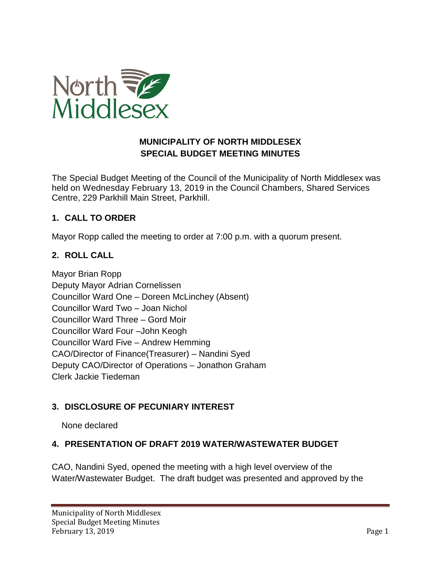

#### **MUNICIPALITY OF NORTH MIDDLESEX SPECIAL BUDGET MEETING MINUTES**

The Special Budget Meeting of the Council of the Municipality of North Middlesex was held on Wednesday February 13, 2019 in the Council Chambers, Shared Services Centre, 229 Parkhill Main Street, Parkhill.

### **1. CALL TO ORDER**

Mayor Ropp called the meeting to order at 7:00 p.m. with a quorum present.

### **2. ROLL CALL**

Mayor Brian Ropp Deputy Mayor Adrian Cornelissen Councillor Ward One – Doreen McLinchey (Absent) Councillor Ward Two – Joan Nichol Councillor Ward Three – Gord Moir Councillor Ward Four –John Keogh Councillor Ward Five – Andrew Hemming CAO/Director of Finance(Treasurer) – Nandini Syed Deputy CAO/Director of Operations – Jonathon Graham Clerk Jackie Tiedeman

### **3. DISCLOSURE OF PECUNIARY INTEREST**

None declared

### **4. PRESENTATION OF DRAFT 2019 WATER/WASTEWATER BUDGET**

CAO, Nandini Syed, opened the meeting with a high level overview of the Water/Wastewater Budget. The draft budget was presented and approved by the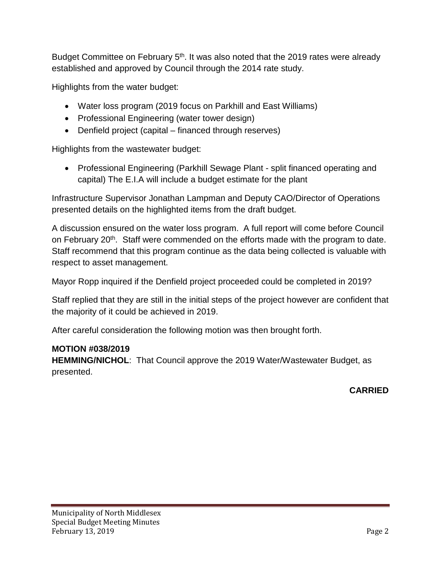Budget Committee on February 5<sup>th</sup>. It was also noted that the 2019 rates were already established and approved by Council through the 2014 rate study.

Highlights from the water budget:

- Water loss program (2019 focus on Parkhill and East Williams)
- Professional Engineering (water tower design)
- Denfield project (capital financed through reserves)

Highlights from the wastewater budget:

• Professional Engineering (Parkhill Sewage Plant - split financed operating and capital) The E.I.A will include a budget estimate for the plant

Infrastructure Supervisor Jonathan Lampman and Deputy CAO/Director of Operations presented details on the highlighted items from the draft budget.

A discussion ensured on the water loss program. A full report will come before Council on February 20<sup>th</sup>. Staff were commended on the efforts made with the program to date. Staff recommend that this program continue as the data being collected is valuable with respect to asset management.

Mayor Ropp inquired if the Denfield project proceeded could be completed in 2019?

Staff replied that they are still in the initial steps of the project however are confident that the majority of it could be achieved in 2019.

After careful consideration the following motion was then brought forth.

### **MOTION #038/2019**

**HEMMING/NICHOL**: That Council approve the 2019 Water/Wastewater Budget, as presented.

# **CARRIED**